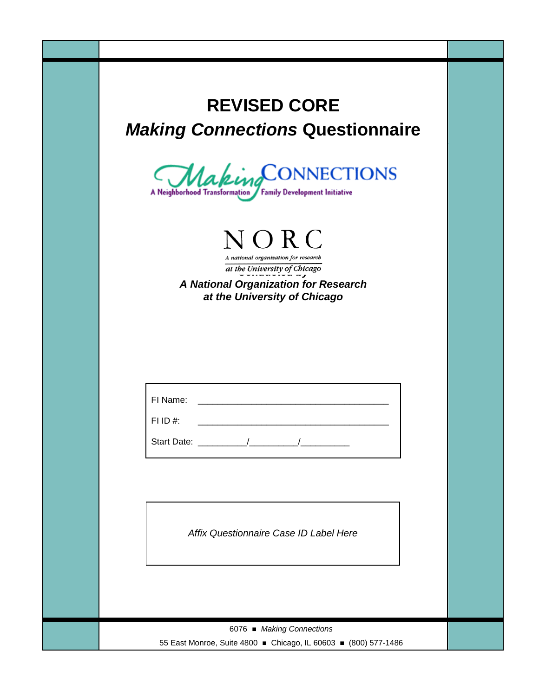| <b>REVISED CORE</b><br><b>Making Connections Questionnaire</b><br>MakingCONNECTIONS<br>A Neighborhood Transformation / Family Development Initiative<br>NORC<br>A national organization for research<br>at the University of Chicago<br>A National Organization for Research<br>at the University of Chicago |  |
|--------------------------------------------------------------------------------------------------------------------------------------------------------------------------------------------------------------------------------------------------------------------------------------------------------------|--|
| FI Name:                                                                                                                                                                                                                                                                                                     |  |
| FIID#:                                                                                                                                                                                                                                                                                                       |  |
|                                                                                                                                                                                                                                                                                                              |  |
| Affix Questionnaire Case ID Label Here                                                                                                                                                                                                                                                                       |  |
|                                                                                                                                                                                                                                                                                                              |  |
| 6076 ■ Making Connections<br>55 East Monroe, Suite 4800 Chicago, IL 60603 (800) 577-1486                                                                                                                                                                                                                     |  |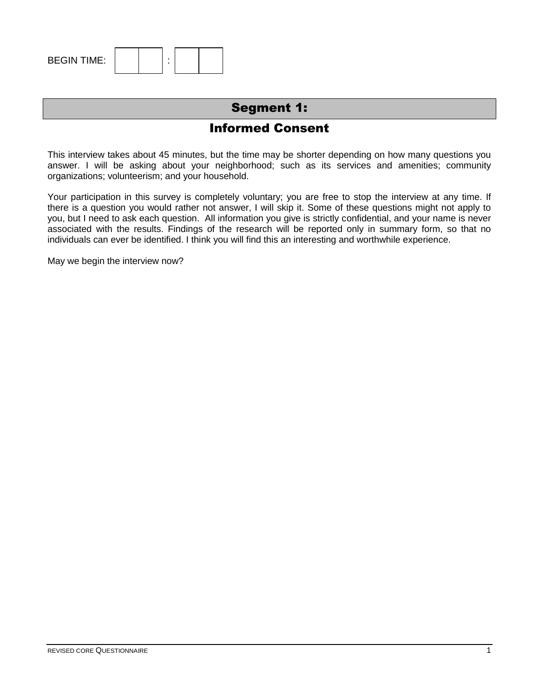| <b>BEGIN TIME:</b> |  |  |  |  |  |
|--------------------|--|--|--|--|--|
|--------------------|--|--|--|--|--|

# Segment 1:

# Informed Consent

This interview takes about 45 minutes, but the time may be shorter depending on how many questions you answer. I will be asking about your neighborhood; such as its services and amenities; community organizations; volunteerism; and your household.

Your participation in this survey is completely voluntary; you are free to stop the interview at any time. If there is a question you would rather not answer, I will skip it. Some of these questions might not apply to you, but I need to ask each question. All information you give is strictly confidential, and your name is never associated with the results. Findings of the research will be reported only in summary form, so that no individuals can ever be identified. I think you will find this an interesting and worthwhile experience.

May we begin the interview now?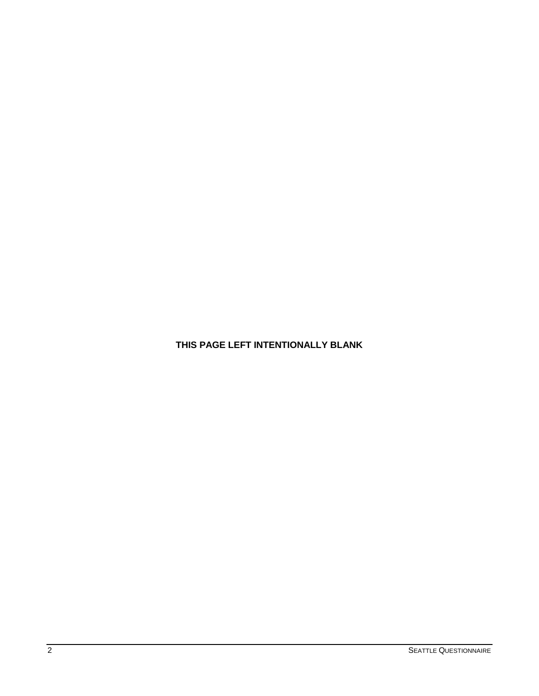THIS PAGE LEFT INTENTIONALLY BLANK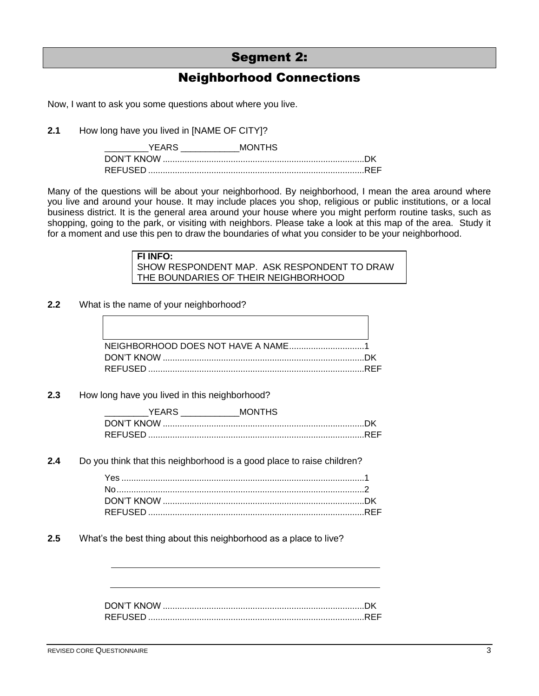# Segment 2:

# Neighborhood Connections

Now, I want to ask you some questions about where you live.

**2.1** How long have you lived in [NAME OF CITY]?

\_\_\_\_\_\_\_\_\_YEARS \_\_\_\_\_\_\_\_\_\_\_\_MONTHS DON'T KNOW ...................................................................................DK REFUSED .........................................................................................REF

Many of the questions will be about your neighborhood. By neighborhood, I mean the area around where you live and around your house. It may include places you shop, religious or public institutions, or a local business district. It is the general area around your house where you might perform routine tasks, such as shopping, going to the park, or visiting with neighbors. Please take a look at this map of the area. Study it for a moment and use this pen to draw the boundaries of what you consider to be your neighborhood.

> **FI INFO:** SHOW RESPONDENT MAP. ASK RESPONDENT TO DRAW THE BOUNDARIES OF THEIR NEIGHBORHOOD

**2.2** What is the name of your neighborhood?

### **2.3** How long have you lived in this neighborhood?

| YFARS | MONTHS |
|-------|--------|
|       |        |
|       |        |

**2.4** Do you think that this neighborhood is a good place to raise children?

**2.5** What's the best thing about this neighborhood as a place to live?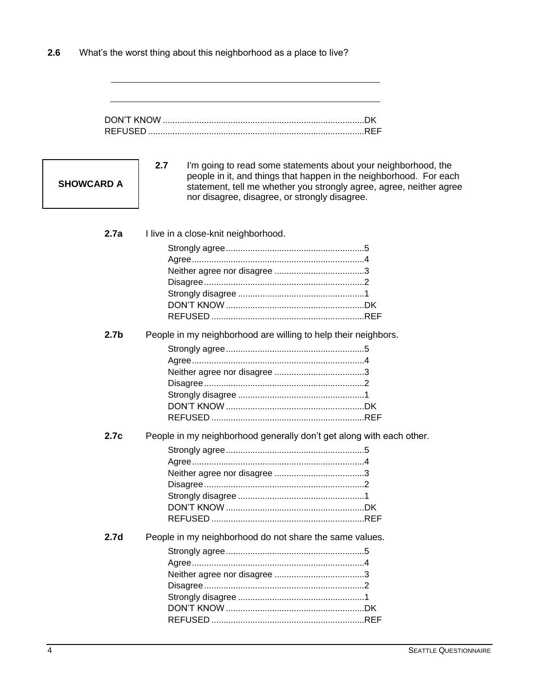DON'T KNOW ...................................................................................DK REFUSED .........................................................................................REF **SHOWCARD A 2.7** I'm going to read some statements about your neighborhood, the people in it, and things that happen in the neighborhood. For each statement, tell me whether you strongly agree, agree, neither agree nor disagree, disagree, or strongly disagree. **2.7a** I live in a close-knit neighborhood. Strongly agree.........................................................5 Agree.......................................................................4 Neither agree nor disagree .....................................3 Disagree..................................................................2 Strongly disagree ....................................................1 DON'T KNOW .........................................................DK REFUSED ...............................................................REF **2.7b** People in my neighborhood are willing to help their neighbors. Strongly agree.........................................................5 Agree.......................................................................4 Neither agree nor disagree .....................................3 Disagree..................................................................2 Strongly disagree ....................................................1 DON'T KNOW .........................................................DK REFUSED ...............................................................REF **2.7c** People in my neighborhood generally don't get along with each other. Strongly agree.........................................................5 Agree.......................................................................4 Neither agree nor disagree .....................................3 Disagree..................................................................2 Strongly disagree ....................................................1 DON'T KNOW .........................................................DK REFUSED ...............................................................REF **2.7d** People in my neighborhood do not share the same values. Strongly agree.........................................................5 Agree.......................................................................4 Neither agree nor disagree .....................................3 Disagree..................................................................2 Strongly disagree ....................................................1 DON'T KNOW .........................................................DK REFUSED ...............................................................REF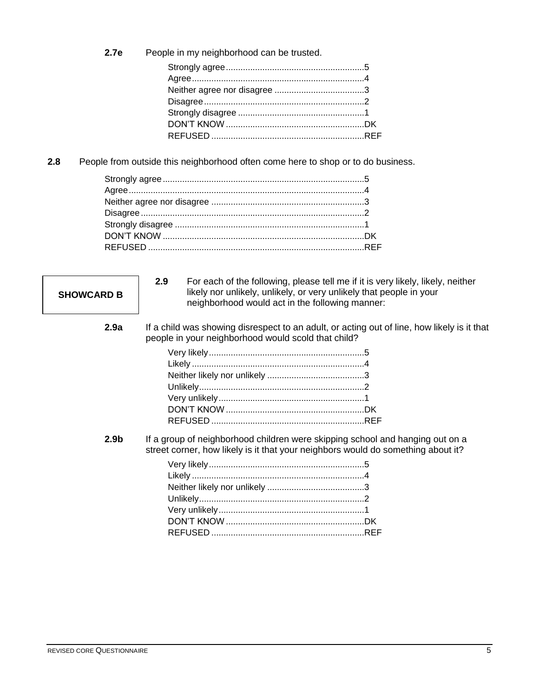| 2.7e | People in my neighborhood can be trusted. |  |
|------|-------------------------------------------|--|
|      |                                           |  |
|      |                                           |  |
|      |                                           |  |
|      |                                           |  |
|      |                                           |  |
|      |                                           |  |
|      |                                           |  |
|      |                                           |  |

**2.8** People from outside this neighborhood often come here to shop or to do business.

# **SHOWCARD B**

**2.9** For each of the following, please tell me if it is very likely, likely, neither likely nor unlikely, unlikely, or very unlikely that people in your neighborhood would act in the following manner:

**2.9a** If a child was showing disrespect to an adult, or acting out of line, how likely is it that people in your neighborhood would scold that child?

**2.9b** If a group of neighborhood children were skipping school and hanging out on a street corner, how likely is it that your neighbors would do something about it?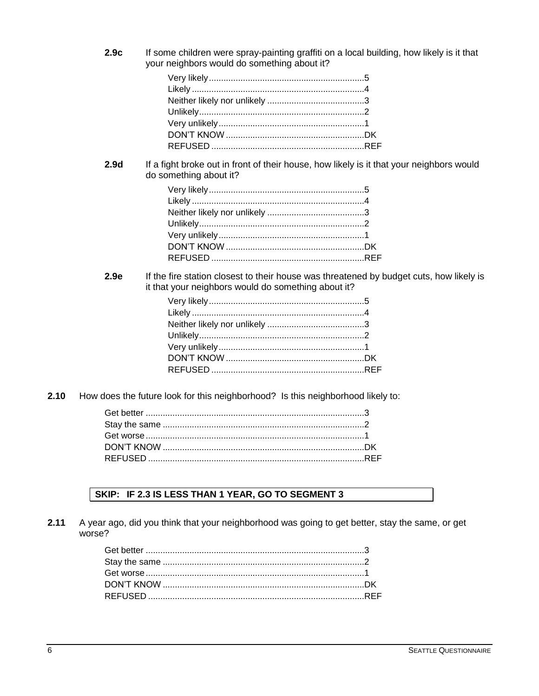$2.9c$ If some children were spray-painting graffiti on a local building, how likely is it that your neighbors would do something about it?

 $2.9<sub>d</sub>$ If a fight broke out in front of their house, how likely is it that your neighbors would do something about it?

 $2.9e$ If the fire station closest to their house was threatened by budget cuts, how likely is it that your neighbors would do something about it?

 $2.10$ How does the future look for this neighborhood? Is this neighborhood likely to:

### SKIP: IF 2.3 IS LESS THAN 1 YEAR, GO TO SEGMENT 3

 $2.11$ A year ago, did you think that your neighborhood was going to get better, stay the same, or get worse?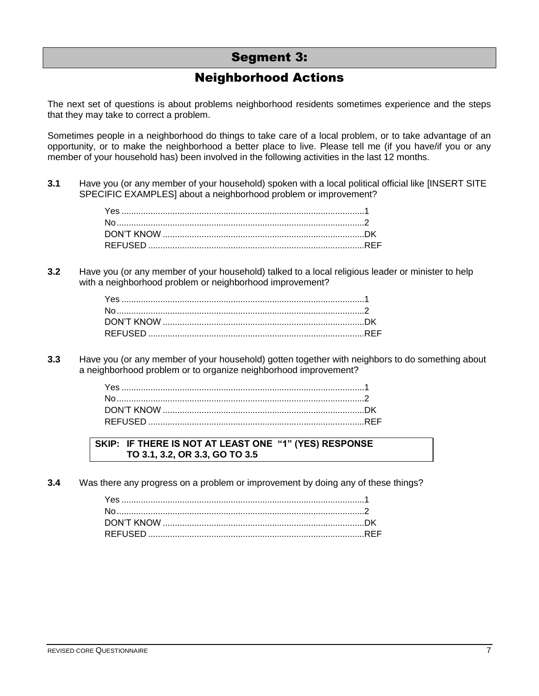# Segment 3:

# Neighborhood Actions

The next set of questions is about problems neighborhood residents sometimes experience and the steps that they may take to correct a problem.

Sometimes people in a neighborhood do things to take care of a local problem, or to take advantage of an opportunity, or to make the neighborhood a better place to live. Please tell me (if you have/if you or any member of your household has) been involved in the following activities in the last 12 months.

**3.1** Have you (or any member of your household) spoken with a local political official like [INSERT SITE SPECIFIC EXAMPLES] about a neighborhood problem or improvement?

**3.2** Have you (or any member of your household) talked to a local religious leader or minister to help with a neighborhood problem or neighborhood improvement?

**3.3** Have you (or any member of your household) gotten together with neighbors to do something about a neighborhood problem or to organize neighborhood improvement?

### **SKIP: IF THERE IS NOT AT LEAST ONE "1" (YES) RESPONSE TO 3.1, 3.2, OR 3.3, GO TO 3.5**

**3.4** Was there any progress on a problem or improvement by doing any of these things?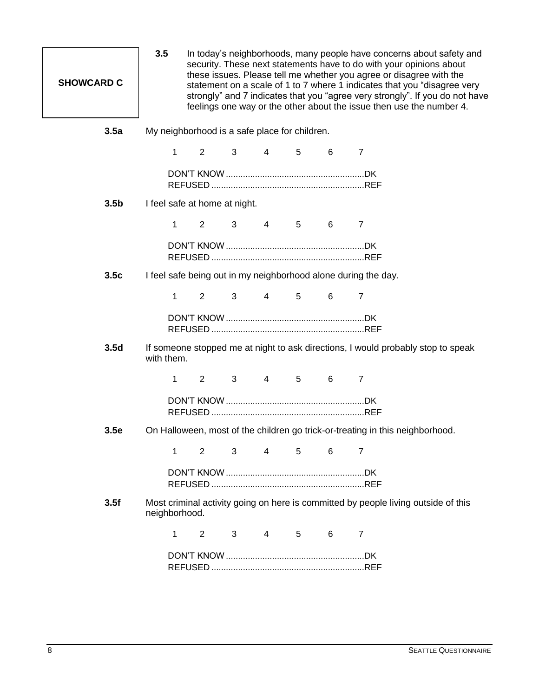| <b>SHOWCARD C</b> | 3.5                                           |                |             |                 |             |   |                                                                | In today's neighborhoods, many people have concerns about safety and<br>security. These next statements have to do with your opinions about<br>these issues. Please tell me whether you agree or disagree with the<br>statement on a scale of 1 to 7 where 1 indicates that you "disagree very<br>strongly" and 7 indicates that you "agree very strongly". If you do not have<br>feelings one way or the other about the issue then use the number 4. |  |
|-------------------|-----------------------------------------------|----------------|-------------|-----------------|-------------|---|----------------------------------------------------------------|--------------------------------------------------------------------------------------------------------------------------------------------------------------------------------------------------------------------------------------------------------------------------------------------------------------------------------------------------------------------------------------------------------------------------------------------------------|--|
| 3.5a              | My neighborhood is a safe place for children. |                |             |                 |             |   |                                                                |                                                                                                                                                                                                                                                                                                                                                                                                                                                        |  |
|                   | $\mathbf{1}$                                  | $\overline{2}$ | 3           | 4               | $5^{\circ}$ | 6 | 7                                                              |                                                                                                                                                                                                                                                                                                                                                                                                                                                        |  |
|                   |                                               |                |             |                 |             |   |                                                                |                                                                                                                                                                                                                                                                                                                                                                                                                                                        |  |
| 3.5 <sub>b</sub>  | I feel safe at home at night.                 |                |             |                 |             |   |                                                                |                                                                                                                                                                                                                                                                                                                                                                                                                                                        |  |
|                   | $\mathbf{1}$                                  | $\overline{2}$ | $3^{\circ}$ |                 | 4 5 6       |   | 7                                                              |                                                                                                                                                                                                                                                                                                                                                                                                                                                        |  |
|                   |                                               |                |             |                 |             |   |                                                                |                                                                                                                                                                                                                                                                                                                                                                                                                                                        |  |
| 3.5c              |                                               |                |             |                 |             |   | I feel safe being out in my neighborhood alone during the day. |                                                                                                                                                                                                                                                                                                                                                                                                                                                        |  |
|                   | $\mathbf{1}$                                  | $\overline{2}$ | 3           | $\overline{4}$  | $5^{\circ}$ | 6 | $\overline{7}$                                                 |                                                                                                                                                                                                                                                                                                                                                                                                                                                        |  |
|                   |                                               |                |             |                 |             |   |                                                                |                                                                                                                                                                                                                                                                                                                                                                                                                                                        |  |
| 3.5d              | with them.                                    |                |             |                 |             |   |                                                                | If someone stopped me at night to ask directions, I would probably stop to speak                                                                                                                                                                                                                                                                                                                                                                       |  |
|                   | $\mathbf{1}$                                  | $\overline{2}$ | $3^{\circ}$ | $4\overline{ }$ | $5^{\circ}$ | 6 | $\overline{7}$                                                 |                                                                                                                                                                                                                                                                                                                                                                                                                                                        |  |
|                   |                                               |                |             |                 |             |   |                                                                |                                                                                                                                                                                                                                                                                                                                                                                                                                                        |  |
| 3.5e              |                                               |                |             |                 |             |   |                                                                | On Halloween, most of the children go trick-or-treating in this neighborhood.                                                                                                                                                                                                                                                                                                                                                                          |  |
|                   | 1                                             | 2              | 3           | 4               | 5           | 6 | 7                                                              |                                                                                                                                                                                                                                                                                                                                                                                                                                                        |  |
|                   |                                               |                |             |                 |             |   |                                                                |                                                                                                                                                                                                                                                                                                                                                                                                                                                        |  |
| 3.5f              | neighborhood.                                 |                |             |                 |             |   |                                                                | Most criminal activity going on here is committed by people living outside of this                                                                                                                                                                                                                                                                                                                                                                     |  |
|                   | $\mathbf{1}$                                  | 2              |             | $3 \t 4 \t 5$   |             | 6 | $\overline{7}$                                                 |                                                                                                                                                                                                                                                                                                                                                                                                                                                        |  |
|                   |                                               |                |             |                 |             |   |                                                                |                                                                                                                                                                                                                                                                                                                                                                                                                                                        |  |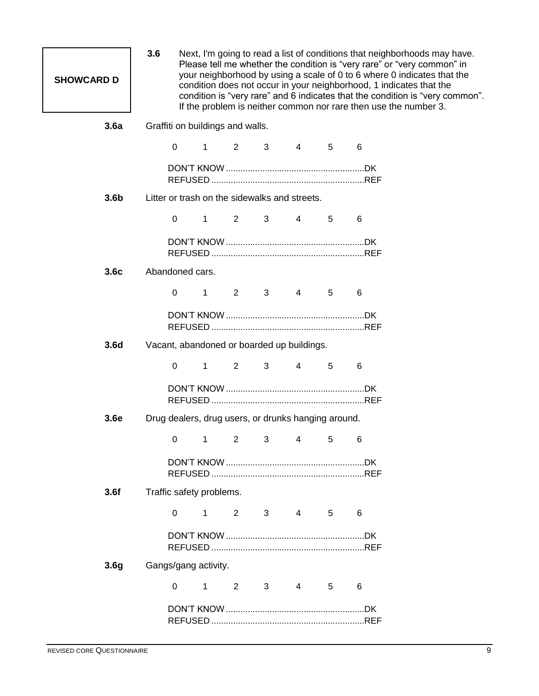| <b>SHOWCARD D</b> | 3.6<br>Next, I'm going to read a list of conditions that neighborhoods may have.<br>Please tell me whether the condition is "very rare" or "very common" in<br>your neighborhood by using a scale of 0 to 6 where 0 indicates that the<br>condition does not occur in your neighborhood, 1 indicates that the<br>condition is "very rare" and 6 indicates that the condition is "very common".<br>If the problem is neither common nor rare then use the number 3. |             |                                  |              |              |                                                     |             |   |  |  |
|-------------------|--------------------------------------------------------------------------------------------------------------------------------------------------------------------------------------------------------------------------------------------------------------------------------------------------------------------------------------------------------------------------------------------------------------------------------------------------------------------|-------------|----------------------------------|--------------|--------------|-----------------------------------------------------|-------------|---|--|--|
| 3.6a              |                                                                                                                                                                                                                                                                                                                                                                                                                                                                    |             | Graffiti on buildings and walls. |              |              |                                                     |             |   |  |  |
|                   |                                                                                                                                                                                                                                                                                                                                                                                                                                                                    | $\mathbf 0$ | $\mathbf{1}$                     | $2^{\circ}$  |              | $3 \qquad 4$                                        | 5           | 6 |  |  |
|                   |                                                                                                                                                                                                                                                                                                                                                                                                                                                                    |             |                                  |              |              |                                                     |             |   |  |  |
| 3.6 <sub>b</sub>  |                                                                                                                                                                                                                                                                                                                                                                                                                                                                    |             |                                  |              |              | Litter or trash on the sidewalks and streets.       |             |   |  |  |
|                   |                                                                                                                                                                                                                                                                                                                                                                                                                                                                    | 0           | $\mathbf{1}$                     | $2^{\circ}$  | $3^{\circ}$  | 4                                                   | 5           | 6 |  |  |
|                   |                                                                                                                                                                                                                                                                                                                                                                                                                                                                    |             |                                  |              |              |                                                     |             |   |  |  |
| 3.6c              | Abandoned cars.                                                                                                                                                                                                                                                                                                                                                                                                                                                    |             |                                  |              |              |                                                     |             |   |  |  |
|                   |                                                                                                                                                                                                                                                                                                                                                                                                                                                                    | 0           | $\mathbf{1}$                     | $2^{\circ}$  | $3^{\circ}$  | $\overline{4}$                                      | 5           | 6 |  |  |
|                   |                                                                                                                                                                                                                                                                                                                                                                                                                                                                    |             |                                  |              |              |                                                     |             |   |  |  |
| 3.6 <sub>d</sub>  |                                                                                                                                                                                                                                                                                                                                                                                                                                                                    |             |                                  |              |              | Vacant, abandoned or boarded up buildings.          |             |   |  |  |
|                   |                                                                                                                                                                                                                                                                                                                                                                                                                                                                    | 0           | 1                                | $\mathbf{2}$ | 3            | $\overline{4}$                                      | 5           | 6 |  |  |
|                   |                                                                                                                                                                                                                                                                                                                                                                                                                                                                    |             |                                  |              |              |                                                     |             |   |  |  |
| 3.6e              |                                                                                                                                                                                                                                                                                                                                                                                                                                                                    |             |                                  |              |              | Drug dealers, drug users, or drunks hanging around. |             |   |  |  |
|                   |                                                                                                                                                                                                                                                                                                                                                                                                                                                                    |             | 0 1 2                            |              | $3 \sim$     | 4                                                   | $5^{\circ}$ | 6 |  |  |
|                   |                                                                                                                                                                                                                                                                                                                                                                                                                                                                    |             |                                  |              |              |                                                     |             |   |  |  |
| 3.6f              |                                                                                                                                                                                                                                                                                                                                                                                                                                                                    |             | Traffic safety problems.         |              |              |                                                     |             |   |  |  |
|                   |                                                                                                                                                                                                                                                                                                                                                                                                                                                                    | $\mathbf 0$ | $\mathbf{1}$                     |              | $2 \qquad 3$ | 4                                                   | 5           | 6 |  |  |
|                   |                                                                                                                                                                                                                                                                                                                                                                                                                                                                    |             |                                  |              |              |                                                     |             |   |  |  |
| 3.6 <sub>g</sub>  |                                                                                                                                                                                                                                                                                                                                                                                                                                                                    |             | Gangs/gang activity.             |              |              |                                                     |             |   |  |  |
|                   |                                                                                                                                                                                                                                                                                                                                                                                                                                                                    | $\Omega$    | $\mathbf{1}$                     |              | 2 3 4        |                                                     | 5           | 6 |  |  |
|                   |                                                                                                                                                                                                                                                                                                                                                                                                                                                                    |             |                                  |              |              |                                                     |             |   |  |  |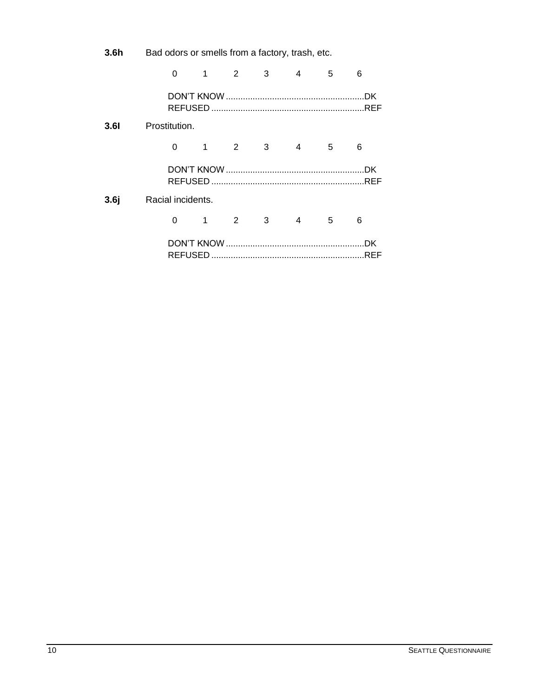| 3.6h             | Bad odors or smells from a factory, trash, etc. |                   |  |  |             |  |  |   |  |  |
|------------------|-------------------------------------------------|-------------------|--|--|-------------|--|--|---|--|--|
|                  |                                                 |                   |  |  | 0 1 2 3 4 5 |  |  | 6 |  |  |
|                  |                                                 |                   |  |  |             |  |  |   |  |  |
| 3.61             |                                                 | Prostitution.     |  |  |             |  |  |   |  |  |
|                  |                                                 |                   |  |  | 0 1 2 3 4 5 |  |  | 6 |  |  |
|                  |                                                 |                   |  |  |             |  |  |   |  |  |
| 3.6 <sub>i</sub> |                                                 | Racial incidents. |  |  |             |  |  |   |  |  |
|                  |                                                 | 0                 |  |  | 1 2 3 4 5   |  |  | 6 |  |  |
|                  |                                                 |                   |  |  |             |  |  |   |  |  |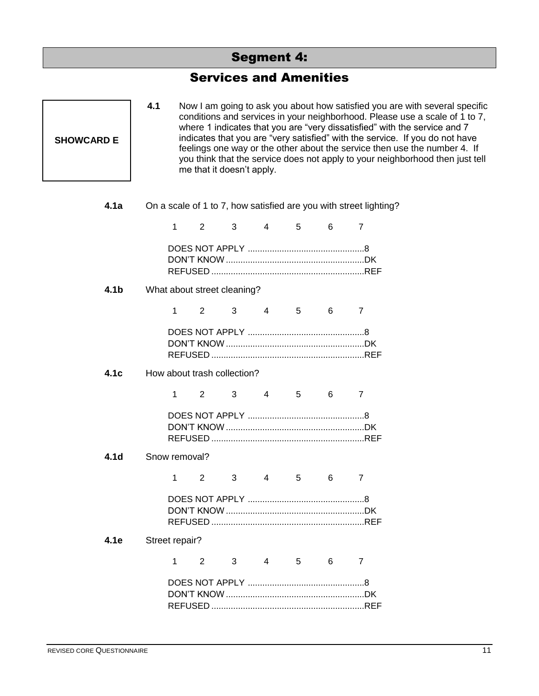# Segment 4:

# Services and Amenities

**SHOWCARD E**

- **4.1** Now I am going to ask you about how satisfied you are with several specific conditions and services in your neighborhood. Please use a scale of 1 to 7, where 1 indicates that you are "very dissatisfied" with the service and 7 indicates that you are "very satisfied" with the service. If you do not have feelings one way or the other about the service then use the number 4. If you think that the service does not apply to your neighborhood then just tell me that it doesn't apply.
- **4.1a** On a scale of 1 to 7, how satisfied are you with street lighting?

1 2 3 4 5 6 7

| 4.1 <sub>b</sub> |                |                                | What about street cleaning? |                     |       |    |   |
|------------------|----------------|--------------------------------|-----------------------------|---------------------|-------|----|---|
|                  | 1              | $2 \left( \frac{1}{2} \right)$ | $3^{\circ}$                 |                     | 4 5 6 |    | 7 |
|                  |                |                                |                             |                     |       |    |   |
| 4.1c             |                |                                | How about trash collection? |                     |       |    |   |
|                  | 1              | $\overline{2}$                 |                             | $3 \quad 4 \quad 5$ |       | 6  | 7 |
|                  |                |                                |                             |                     |       |    |   |
| 4.1 <sub>d</sub> | Snow removal?  |                                |                             |                     |       |    |   |
|                  | 1              | 2                              | 3                           | 4 5                 |       | 6  | 7 |
|                  |                |                                |                             |                     |       |    |   |
| 4.1e             | Street repair? |                                |                             |                     |       |    |   |
|                  | 1              | 2                              |                             | $3 \quad 4 \quad 5$ |       | 6. | 7 |
|                  |                |                                |                             |                     |       |    |   |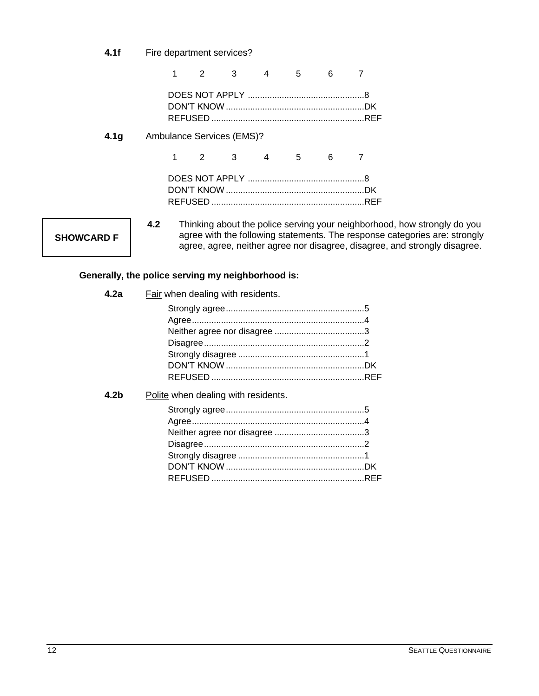### **4.1f** Fire department services?

**4.1g** 

**SHOWCARD F**

|                           |  |                |   |  | 5 | 6 |  |  |  |
|---------------------------|--|----------------|---|--|---|---|--|--|--|
|                           |  |                |   |  |   |   |  |  |  |
| Ambulance Services (EMS)? |  |                |   |  |   |   |  |  |  |
|                           |  | $\overline{2}$ | 3 |  | 5 | 6 |  |  |  |
|                           |  |                |   |  |   |   |  |  |  |

### **4.2** Thinking about the police serving your neighborhood, how strongly do you agree with the following statements. The response categories are: strongly agree, agree, neither agree nor disagree, disagree, and strongly disagree.

### **Generally, the police serving my neighborhood is:**

| 4.2a | Fair when dealing with residents.   |  |
|------|-------------------------------------|--|
|      |                                     |  |
|      |                                     |  |
|      |                                     |  |
|      |                                     |  |
|      |                                     |  |
|      |                                     |  |
|      |                                     |  |
| 4.2b | Polite when dealing with residents. |  |
|      |                                     |  |
|      |                                     |  |
|      |                                     |  |
|      |                                     |  |
|      |                                     |  |
|      |                                     |  |
|      |                                     |  |
|      |                                     |  |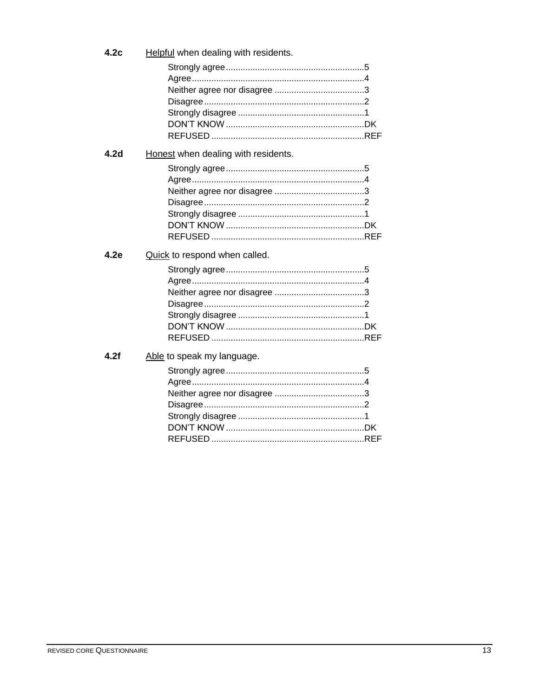| 4.2c             | Helpful when dealing with residents. |  |
|------------------|--------------------------------------|--|
|                  |                                      |  |
|                  |                                      |  |
|                  |                                      |  |
|                  |                                      |  |
|                  |                                      |  |
|                  |                                      |  |
|                  |                                      |  |
| 4.2 <sub>d</sub> | Honest when dealing with residents.  |  |
|                  |                                      |  |
|                  |                                      |  |
|                  |                                      |  |
|                  |                                      |  |
|                  |                                      |  |
|                  |                                      |  |
|                  |                                      |  |
|                  |                                      |  |
| 4.2e             | Quick to respond when called.        |  |
|                  |                                      |  |
|                  |                                      |  |
|                  |                                      |  |
|                  |                                      |  |
|                  |                                      |  |
|                  |                                      |  |
|                  |                                      |  |
| 4.2f             | Able to speak my language.           |  |
|                  |                                      |  |
|                  |                                      |  |
|                  |                                      |  |
|                  |                                      |  |
|                  |                                      |  |
|                  |                                      |  |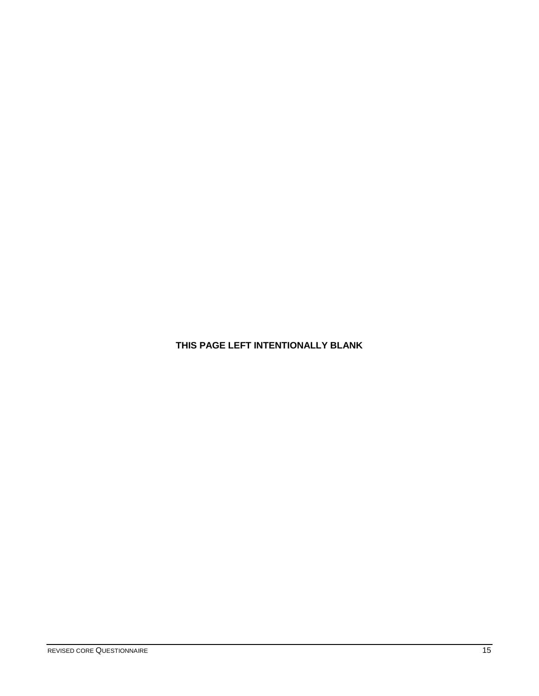**THIS PAGE LEFT INTENTIONALLY BLANK**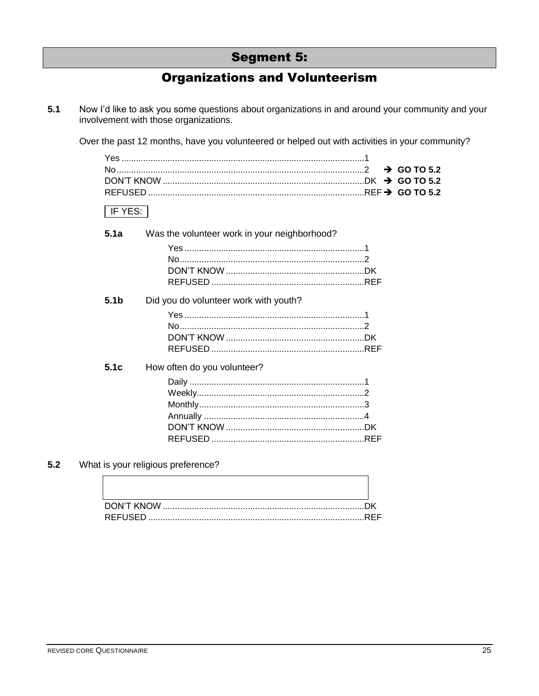# **Segment 5:**

# **Organizations and Volunteerism**

 $5.1$ Now I'd like to ask you some questions about organizations in and around your community and your involvement with those organizations.

Over the past 12 months, have you volunteered or helped out with activities in your community?

### IF YES:

| 5.1a             | Was the volunteer work in your neighborhood? |  |
|------------------|----------------------------------------------|--|
|                  |                                              |  |
|                  |                                              |  |
|                  |                                              |  |
|                  |                                              |  |
| 5.1 <sub>b</sub> | Did you do volunteer work with youth?        |  |
|                  |                                              |  |
|                  |                                              |  |
|                  |                                              |  |
|                  |                                              |  |
| 5.1c             | How often do you volunteer?                  |  |
|                  |                                              |  |
|                  |                                              |  |
|                  |                                              |  |
|                  |                                              |  |
|                  |                                              |  |
|                  |                                              |  |

#### $5.2$ What is your religious preference?

Ē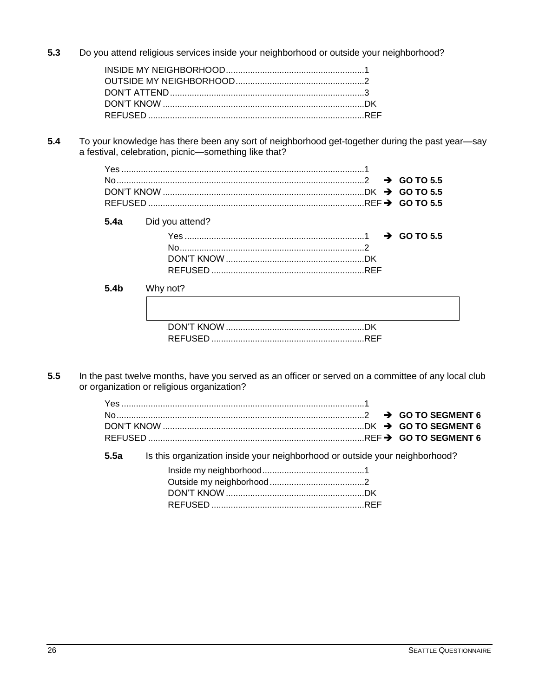$5.3$ Do you attend religious services inside your neighborhood or outside your neighborhood?

 $5.4$ To your knowledge has there been any sort of neighborhood get-together during the past year-say a festival, celebration, picnic-something like that?

| 5.4a | Did you attend? |  |
|------|-----------------|--|
|      |                 |  |
|      |                 |  |
|      |                 |  |
|      |                 |  |
| 5.4b | Why not?        |  |
|      |                 |  |
|      |                 |  |
|      |                 |  |
|      |                 |  |

 $5.5$ In the past twelve months, have you served as an officer or served on a committee of any local club or organization or religious organization?

 $5.5a$ Is this organization inside your neighborhood or outside your neighborhood?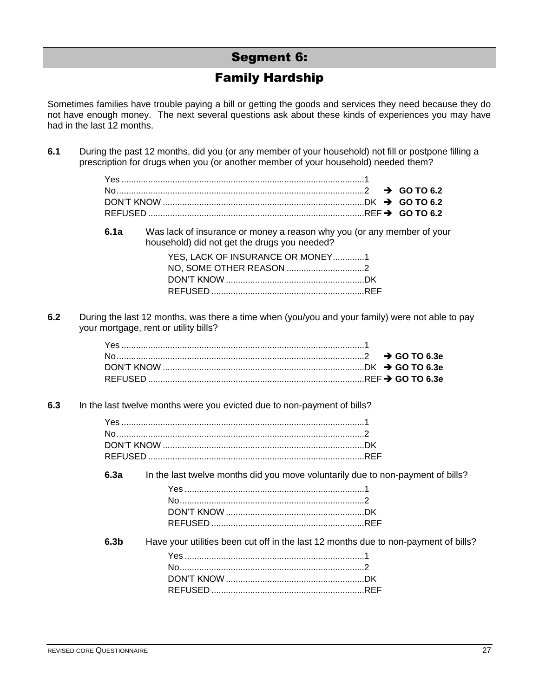# Segment 6:

# Family Hardship

Sometimes families have trouble paying a bill or getting the goods and services they need because they do not have enough money. The next several questions ask about these kinds of experiences you may have had in the last 12 months.

**6.1** During the past 12 months, did you (or any member of your household) not fill or postpone filling a prescription for drugs when you (or another member of your household) needed them?

| No.  |                                                                                                                        |  |  |
|------|------------------------------------------------------------------------------------------------------------------------|--|--|
|      |                                                                                                                        |  |  |
|      |                                                                                                                        |  |  |
| 6.1a | Was lack of insurance or money a reason why you (or any member of your<br>household) did not get the drugs you needed? |  |  |
|      | YES, LACK OF INSURANCE OR MONEY1                                                                                       |  |  |
|      |                                                                                                                        |  |  |
|      |                                                                                                                        |  |  |
|      |                                                                                                                        |  |  |

**6.2** During the last 12 months, was there a time when (you/you and your family) were not able to pay your mortgage, rent or utility bills?

**6.3** In the last twelve months were you evicted due to non-payment of bills?

**6.3a** In the last twelve months did you move voluntarily due to non-payment of bills?

**6.3b** Have your utilities been cut off in the last 12 months due to non-payment of bills? Yes ..........................................................................1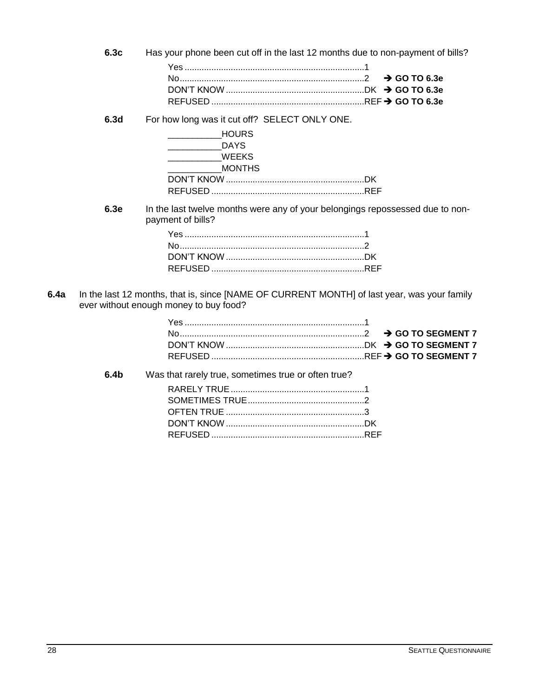| Has your phone been cut off in the last 12 months due to non-payment of bills?                     |
|----------------------------------------------------------------------------------------------------|
|                                                                                                    |
|                                                                                                    |
| For how long was it cut off? SELECT ONLY ONE.                                                      |
| HOURS<br>DAYS<br>WEEKS<br><b>MONTHS</b>                                                            |
| In the last twelve months were any of your belongings repossessed due to non-<br>payment of bills? |
|                                                                                                    |
|                                                                                                    |

**6.4a** In the last 12 months, that is, since [NAME OF CURRENT MONTH] of last year, was your family ever without enough money to buy food?

| 6.4b | Was that rarely true, sometimes true or often true? |  |  |  |
|------|-----------------------------------------------------|--|--|--|
|      |                                                     |  |  |  |
|      |                                                     |  |  |  |
|      |                                                     |  |  |  |
|      |                                                     |  |  |  |
|      |                                                     |  |  |  |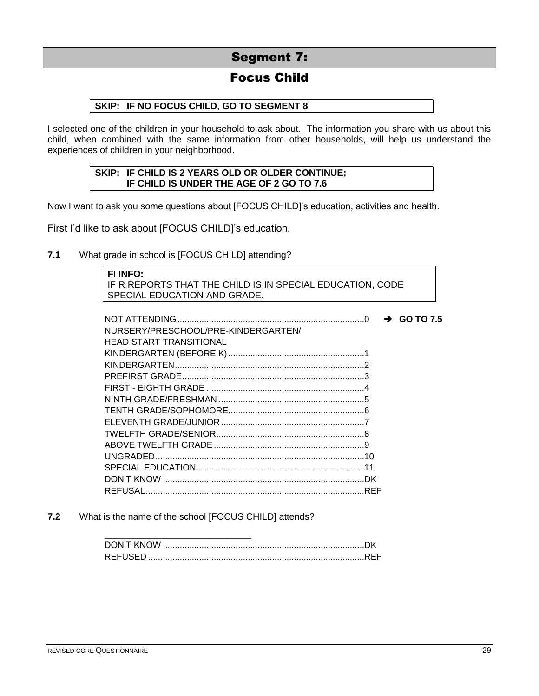# Segment 7:

# Focus Child

### **SKIP: IF NO FOCUS CHILD, GO TO SEGMENT 8**

I selected one of the children in your household to ask about. The information you share with us about this child, when combined with the same information from other households, will help us understand the experiences of children in your neighborhood.

### **SKIP: IF CHILD IS 2 YEARS OLD OR OLDER CONTINUE; IF CHILD IS UNDER THE AGE OF 2 GO TO 7.6**

Now I want to ask you some questions about [FOCUS CHILD]'s education, activities and health.

First I'd like to ask about [FOCUS CHILD]'s education.

**7.1** What grade in school is [FOCUS CHILD] attending?

| <b>FI INFO:</b>                                           |
|-----------------------------------------------------------|
| IF R REPORTS THAT THE CHILD IS IN SPECIAL EDUCATION, CODE |
| SPECIAL EDUCATION AND GRADE.                              |
|                                                           |

| NURSERY/PRESCHOOL/PRE-KINDERGARTEN/ |  |
|-------------------------------------|--|
| HEAD START TRANSITIONAL             |  |
|                                     |  |
|                                     |  |
|                                     |  |
|                                     |  |
|                                     |  |
|                                     |  |
|                                     |  |
|                                     |  |
|                                     |  |
|                                     |  |
|                                     |  |
|                                     |  |
|                                     |  |
|                                     |  |

**7.2** What is the name of the school [FOCUS CHILD] attends?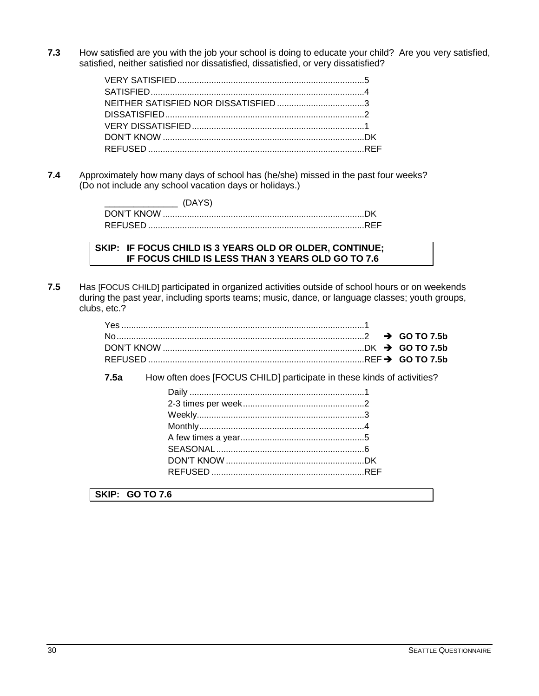$7.3$ How satisfied are you with the job your school is doing to educate your child? Are you very satisfied, satisfied, neither satisfied nor dissatisfied, dissatisfied, or very dissatisfied?

 $7.4$ Approximately how many days of school has (he/she) missed in the past four weeks? (Do not include any school vacation days or holidays.)

| REFUSED |  |
|---------|--|

SKIP: IF FOCUS CHILD IS 3 YEARS OLD OR OLDER, CONTINUE; IF FOCUS CHILD IS LESS THAN 3 YEARS OLD GO TO 7.6

 $7.5$ Has [FOCUS CHILD] participated in organized activities outside of school hours or on weekends during the past year, including sports teams; music, dance, or language classes; youth groups, clubs, etc.?

| 7.5a                   | How often does [FOCUS CHILD] participate in these kinds of activities? |
|------------------------|------------------------------------------------------------------------|
|                        |                                                                        |
| <b>SKIP: GO TO 7.6</b> |                                                                        |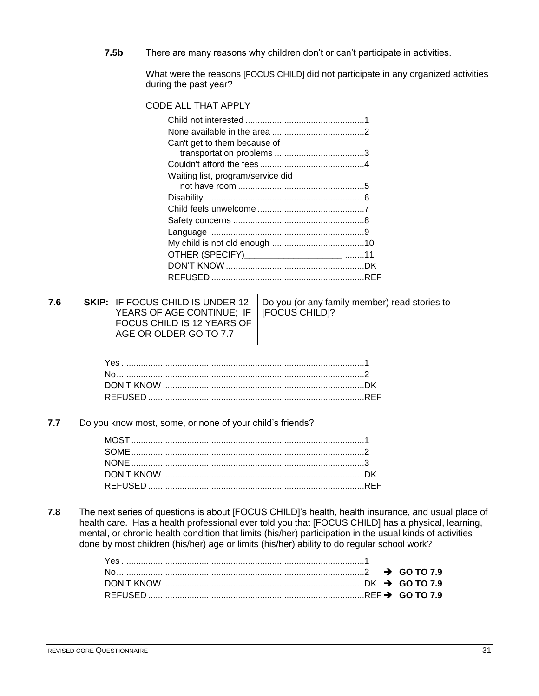**7.5b** There are many reasons why children don't or can't participate in activities.

What were the reasons [FOCUS CHILD] did not participate in any organized activities during the past year?

CODE ALL THAT APPLY

| Can't get to them because of              |  |
|-------------------------------------------|--|
|                                           |  |
|                                           |  |
| Waiting list, program/service did         |  |
|                                           |  |
|                                           |  |
|                                           |  |
|                                           |  |
|                                           |  |
|                                           |  |
| OTHER (SPECIFY)_______________________ 11 |  |
|                                           |  |
|                                           |  |
|                                           |  |

**7.6 SKIP:** IF FOCUS CHILD IS UNDER 12 YEARS OF AGE CONTINUE; IF FOCUS CHILD IS 12 YEARS OF AGE OR OLDER GO TO 7.7

Do you (or any family member) read stories to [FOCUS CHILD]?

### **7.7** Do you know most, some, or none of your child's friends?

**7.8** The next series of questions is about [FOCUS CHILD]'s health, health insurance, and usual place of health care. Has a health professional ever told you that [FOCUS CHILD] has a physical, learning, mental, or chronic health condition that limits (his/her) participation in the usual kinds of activities done by most children (his/her) age or limits (his/her) ability to do regular school work?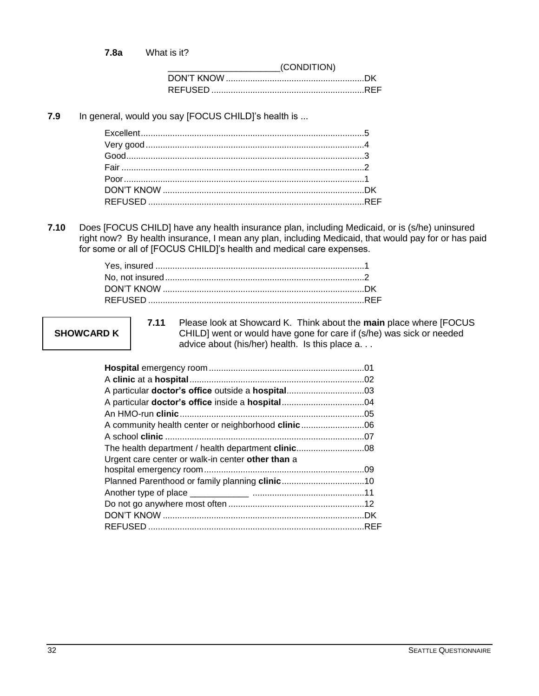**7.8a** What is it?

### $\Box$ (CONDITION)

### **7.9** In general, would you say [FOCUS CHILD]'s health is ...

**7.10** Does [FOCUS CHILD] have any health insurance plan, including Medicaid, or is (s/he) uninsured right now? By health insurance, I mean any plan, including Medicaid, that would pay for or has paid for some or all of [FOCUS CHILD]'s health and medical care expenses.

### **SHOWCARD K**

**7.11** Please look at Showcard K. Think about the **main** place where [FOCUS CHILD] went or would have gone for care if (s/he) was sick or needed advice about (his/her) health. Is this place a. . .

| Urgent care center or walk-in center other than a |  |
|---------------------------------------------------|--|
|                                                   |  |
|                                                   |  |
|                                                   |  |
|                                                   |  |
|                                                   |  |
|                                                   |  |
|                                                   |  |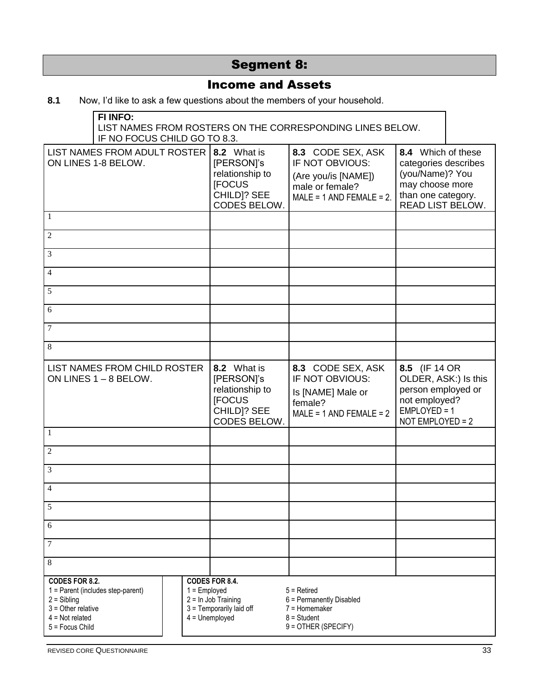# Segment 8:

# Income and Assets

**8.1** Now, I'd like to ask a few questions about the members of your household.

| FI INFO:<br>LIST NAMES FROM ROSTERS ON THE CORRESPONDING LINES BELOW.<br>IF NO FOCUS CHILD GO TO 8.3.                                |                |                                                                                                 |                                                                                                              |                                                                                                                            |  |
|--------------------------------------------------------------------------------------------------------------------------------------|----------------|-------------------------------------------------------------------------------------------------|--------------------------------------------------------------------------------------------------------------|----------------------------------------------------------------------------------------------------------------------------|--|
| LIST NAMES FROM ADULT ROSTER<br>ON LINES 1-8 BELOW.                                                                                  |                | 8.2 What is<br>[PERSON]'s<br>relationship to<br><b>IFOCUS</b><br>CHILD]? SEE<br>CODES BELOW.    | 8.3 CODE SEX, ASK<br>IF NOT OBVIOUS:<br>(Are you/is [NAME])<br>male or female?<br>$MALE = 1$ AND FEMALE = 2. | 8.4 Which of these<br>categories describes<br>(you/Name)? You<br>may choose more<br>than one category.<br>READ LIST BELOW. |  |
| 1                                                                                                                                    |                |                                                                                                 |                                                                                                              |                                                                                                                            |  |
| $\sqrt{2}$                                                                                                                           |                |                                                                                                 |                                                                                                              |                                                                                                                            |  |
| $\overline{3}$                                                                                                                       |                |                                                                                                 |                                                                                                              |                                                                                                                            |  |
| $\overline{4}$                                                                                                                       |                |                                                                                                 |                                                                                                              |                                                                                                                            |  |
| 5                                                                                                                                    |                |                                                                                                 |                                                                                                              |                                                                                                                            |  |
| 6                                                                                                                                    |                |                                                                                                 |                                                                                                              |                                                                                                                            |  |
| 7                                                                                                                                    |                |                                                                                                 |                                                                                                              |                                                                                                                            |  |
| $\,8\,$                                                                                                                              |                |                                                                                                 |                                                                                                              |                                                                                                                            |  |
| LIST NAMES FROM CHILD ROSTER<br>ON LINES 1 - 8 BELOW.                                                                                |                | 8.2 What is<br>[PERSON]'s<br>relationship to<br><b>IFOCUS</b><br>CHILD]? SEE<br>CODES BELOW.    | 8.3 CODE SEX, ASK<br>IF NOT OBVIOUS:<br>Is [NAME] Male or<br>female?<br>$MALE = 1$ AND FEMALE = 2            | 8.5 (IF 14 OR<br>OLDER, ASK:) Is this<br>person employed or<br>not employed?<br>$EMPLOYED = 1$<br>NOT EMPLOYED = 2         |  |
| 1                                                                                                                                    |                |                                                                                                 |                                                                                                              |                                                                                                                            |  |
| $\sqrt{2}$                                                                                                                           |                |                                                                                                 |                                                                                                              |                                                                                                                            |  |
| 3                                                                                                                                    |                |                                                                                                 |                                                                                                              |                                                                                                                            |  |
| $\overline{4}$                                                                                                                       |                |                                                                                                 |                                                                                                              |                                                                                                                            |  |
| 5                                                                                                                                    |                |                                                                                                 |                                                                                                              |                                                                                                                            |  |
| 6                                                                                                                                    |                |                                                                                                 |                                                                                                              |                                                                                                                            |  |
| 7                                                                                                                                    |                |                                                                                                 |                                                                                                              |                                                                                                                            |  |
| $\,8\,$                                                                                                                              |                |                                                                                                 |                                                                                                              |                                                                                                                            |  |
| CODES FOR 8.2.<br>1 = Parent (includes step-parent)<br>$2 = Sibling$<br>$3 =$ Other relative<br>$4 = Not related$<br>5 = Focus Child | $1 =$ Employed | <b>CODES FOR 8.4.</b><br>$2 = \ln$ Job Training<br>3 = Temporarily laid off<br>$4 =$ Unemployed | $5 =$ Retired<br>6 = Permanently Disabled<br>7 = Homemaker<br>$8 =$ Student<br>9 = OTHER (SPECIFY)           |                                                                                                                            |  |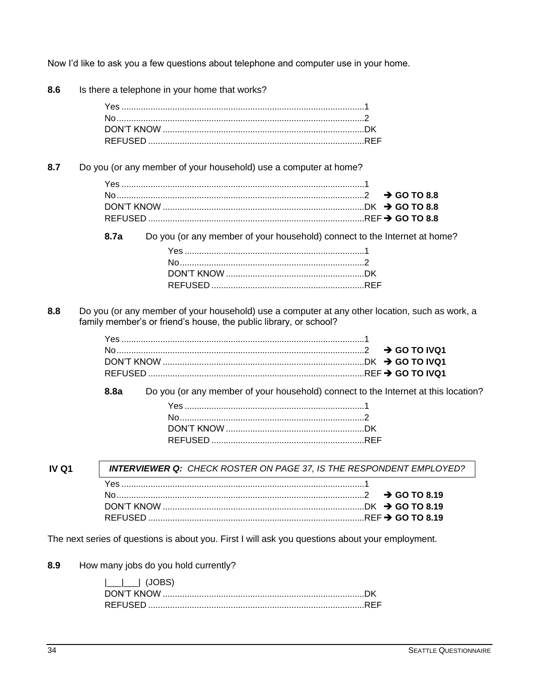Now I'd like to ask you a few questions about telephone and computer use in your home.

8.6 Is there a telephone in your home that works?

8.7 Do you (or any member of your household) use a computer at home?

8.7a Do you (or any member of your household) connect to the Internet at home?

8.8 Do you (or any member of your household) use a computer at any other location, such as work, a family member's or friend's house, the public library, or school?

 $8.8a$ Do you (or any member of your household) connect to the Internet at this location? 

**IV Q1** 

**INTERVIEWER Q: CHECK ROSTER ON PAGE 37, IS THE RESPONDENT EMPLOYED?** 

The next series of questions is about you. First I will ask you questions about your employment.

8.9 How many jobs do you hold currently?

| $ \_\_\_\ $ (JOBS) |  |
|--------------------|--|
|                    |  |
|                    |  |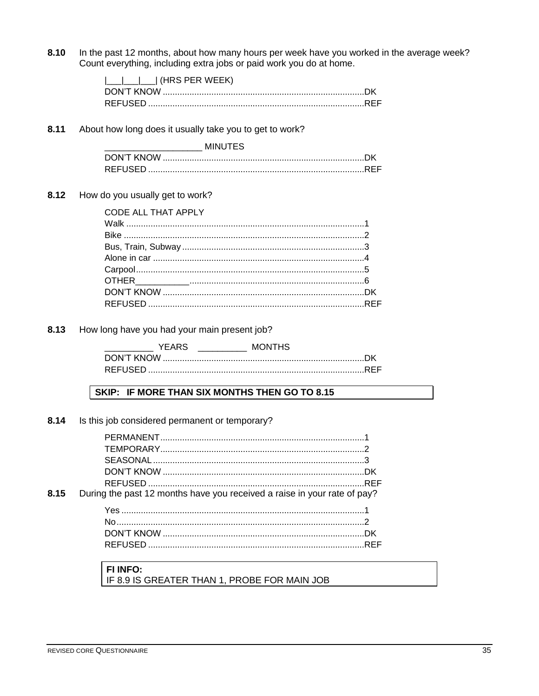8.10 In the past 12 months, about how many hours per week have you worked in the average week? Count everything, including extra jobs or paid work you do at home.

| $ $ ___ ___ ___  (HRS PER WEEK) |  |
|---------------------------------|--|
|                                 |  |
| RFFUSED                         |  |

#### 8.11 About how long does it usually take you to get to work?

| MINUTES        |  |
|----------------|--|
| DON'T KNOW     |  |
| <b>REFUSED</b> |  |

#### 8.12 How do you usually get to work?

| <b>CODE ALL THAT APPLY</b> |  |
|----------------------------|--|
|                            |  |
|                            |  |
|                            |  |
|                            |  |
|                            |  |
|                            |  |
|                            |  |
|                            |  |
|                            |  |

8.13 How long have you had your main present job?

| YLARS | MONTHS |
|-------|--------|
|       |        |
|       |        |

### SKIP: IF MORE THAN SIX MONTHS THEN GO TO 8.15

 $8.14$ Is this job considered permanent or temporary?

| 8.15 | During the past 12 months have you received a raise in your rate of pay? |  |
|------|--------------------------------------------------------------------------|--|
|      |                                                                          |  |
|      |                                                                          |  |
|      |                                                                          |  |
|      |                                                                          |  |
|      |                                                                          |  |

### FI INFO: IF 8.9 IS GREATER THAN 1, PROBE FOR MAIN JOB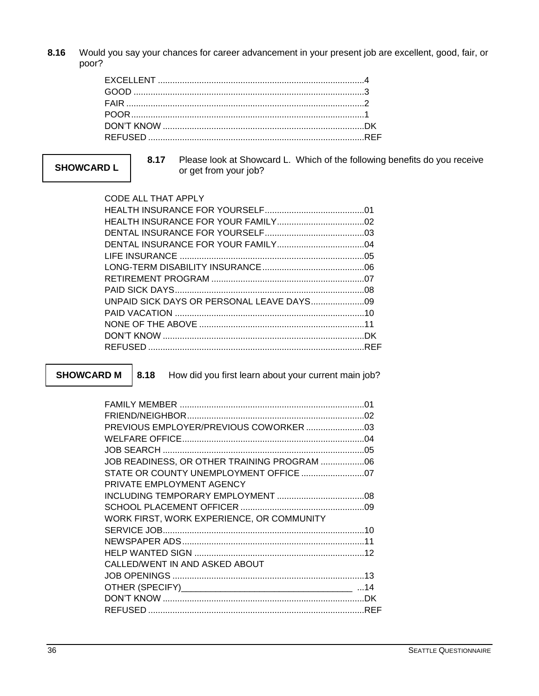8.16 Would you say your chances for career advancement in your present job are excellent, good, fair, or poor?

## **SHOWCARD L**

8.17 Please look at Showcard L. Which of the following benefits do you receive or get from your job?

### CODE ALL THAT APPLY

8.18

### **SHOWCARD M**

How did you first learn about your current main job?

|                                              | 01 |
|----------------------------------------------|----|
|                                              |    |
|                                              |    |
|                                              |    |
|                                              |    |
| JOB READINESS, OR OTHER TRAINING PROGRAM  06 |    |
|                                              |    |
| PRIVATE EMPLOYMENT AGENCY                    |    |
|                                              |    |
|                                              |    |
| WORK FIRST, WORK EXPERIENCE, OR COMMUNITY    |    |
|                                              |    |
|                                              |    |
|                                              |    |
| CALLED/WENT IN AND ASKED ABOUT               |    |
|                                              |    |
|                                              |    |
|                                              |    |
|                                              |    |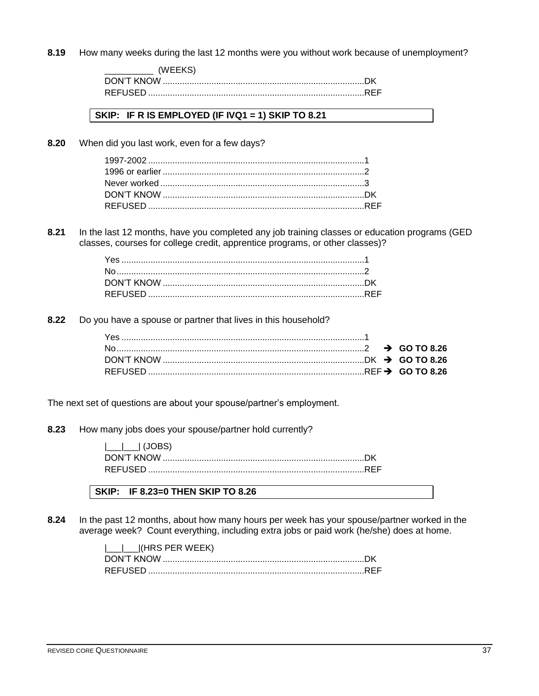**8.19** How many weeks during the last 12 months were you without work because of unemployment?

| IWFFKSI        |  |
|----------------|--|
|                |  |
| <b>REFUSED</b> |  |

### **SKIP: IF R IS EMPLOYED (IF IVQ1 = 1) SKIP TO 8.21**

**8.20** When did you last work, even for a few days?

**8.21** In the last 12 months, have you completed any job training classes or education programs (GED classes, courses for college credit, apprentice programs, or other classes)?

**8.22** Do you have a spouse or partner that lives in this household?

The next set of questions are about your spouse/partner's employment.

**8.23** How many jobs does your spouse/partner hold currently?

| $\left  \_\_\right $ (JOBS) |  |
|-----------------------------|--|
|                             |  |
| <b>REFUSED</b>              |  |

### **SKIP: IF 8.23=0 THEN SKIP TO 8.26**

**8.24** In the past 12 months, about how many hours per week has your spouse/partner worked in the average week? Count everything, including extra jobs or paid work (he/she) does at home.

| $ \_\_\_\_\ $ (HRS PER WEEK) |  |
|------------------------------|--|
|                              |  |
|                              |  |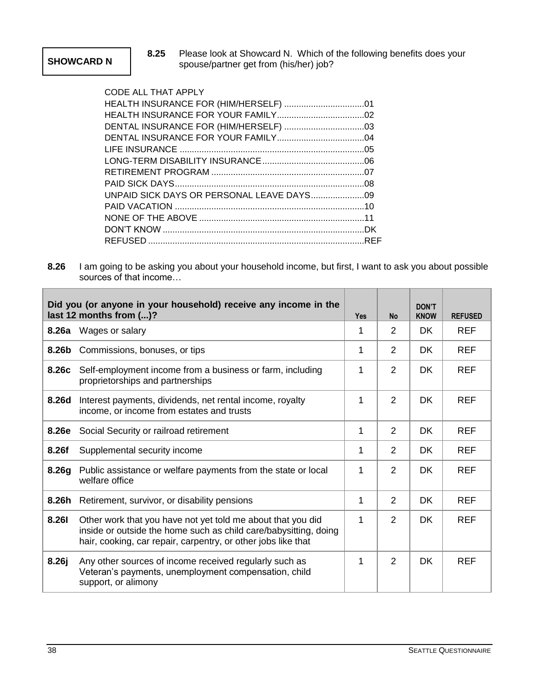**8.25** Please look at Showcard N. Which of the following benefits does your spouse/partner get from (his/her) job?

| <b>CODE ALL THAT APPLY</b> |  |
|----------------------------|--|
|                            |  |
|                            |  |
|                            |  |
|                            |  |
|                            |  |
|                            |  |
|                            |  |
|                            |  |
|                            |  |
|                            |  |
|                            |  |
|                            |  |
|                            |  |
|                            |  |

**8.26** I am going to be asking you about your household income, but first, I want to ask you about possible sources of that income…

|       | Did you (or anyone in your household) receive any income in the<br>last 12 months from ()?                                                                                                       | <b>Yes</b> | <b>No</b>      | <b>DON'T</b><br><b>KNOW</b> | <b>REFUSED</b> |
|-------|--------------------------------------------------------------------------------------------------------------------------------------------------------------------------------------------------|------------|----------------|-----------------------------|----------------|
| 8.26a | Wages or salary                                                                                                                                                                                  | 1          | 2              | DK.                         | <b>REF</b>     |
| 8.26b | Commissions, bonuses, or tips                                                                                                                                                                    | 1          | $\overline{2}$ | <b>DK</b>                   | <b>REF</b>     |
| 8.26c | Self-employment income from a business or farm, including<br>proprietorships and partnerships                                                                                                    | 1          | $\overline{2}$ | DK.                         | <b>REF</b>     |
| 8.26d | Interest payments, dividends, net rental income, royalty<br>income, or income from estates and trusts                                                                                            | 1          | 2              | DK.                         | <b>REF</b>     |
| 8.26e | Social Security or railroad retirement                                                                                                                                                           | 1          | $\overline{2}$ | <b>DK</b>                   | <b>REF</b>     |
| 8.26f | Supplemental security income                                                                                                                                                                     | 1          | 2              | <b>DK</b>                   | <b>REF</b>     |
| 8.26g | Public assistance or welfare payments from the state or local<br>welfare office                                                                                                                  | 1          | 2              | DK.                         | <b>REF</b>     |
| 8.26h | Retirement, survivor, or disability pensions                                                                                                                                                     | 1          | 2              | <b>DK</b>                   | <b>REF</b>     |
| 8.261 | Other work that you have not yet told me about that you did<br>inside or outside the home such as child care/babysitting, doing<br>hair, cooking, car repair, carpentry, or other jobs like that | 1          | 2              | <b>DK</b>                   | <b>REF</b>     |
| 8.26j | Any other sources of income received regularly such as<br>Veteran's payments, unemployment compensation, child<br>support, or alimony                                                            |            | $\overline{2}$ | <b>DK</b>                   | <b>REF</b>     |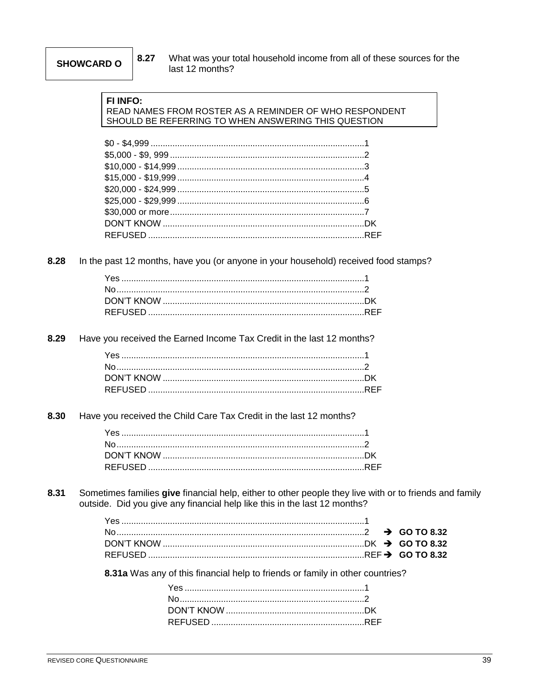

8.27 What was your total household income from all of these sources for the last 12 months?

### FI INFO: READ NAMES FROM ROSTER AS A REMINDER OF WHO RESPONDENT SHOULD BE REFERRING TO WHEN ANSWERING THIS QUESTION

| $$5.000 - $9,999 \dots 2$ |  |
|---------------------------|--|
|                           |  |
|                           |  |
|                           |  |
|                           |  |
|                           |  |
|                           |  |
|                           |  |

8.28 In the past 12 months, have you (or anyone in your household) received food stamps?

8.29 Have you received the Earned Income Tax Credit in the last 12 months?

8.30 Have you received the Child Care Tax Credit in the last 12 months?

8.31 Sometimes families give financial help, either to other people they live with or to friends and family outside. Did you give any financial help like this in the last 12 months?

8.31a Was any of this financial help to friends or family in other countries?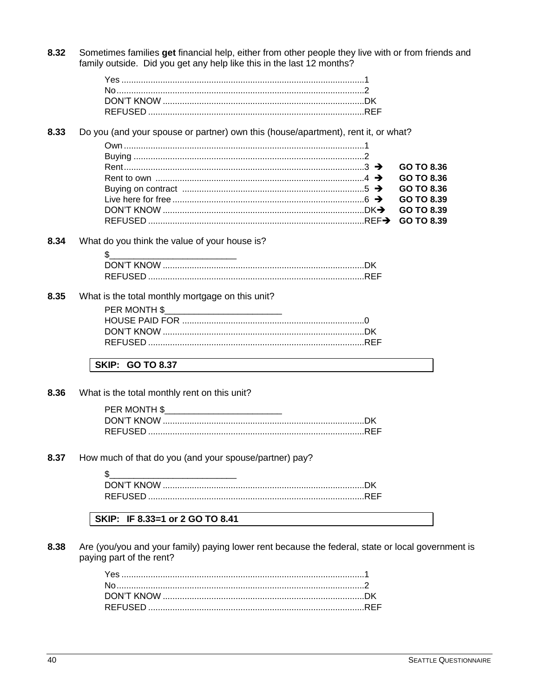8.32 Sometimes families get financial help, either from other people they live with or from friends and family outside. Did you get any help like this in the last 12 months?

#### 8.33 Do you (and your spouse or partner) own this (house/apartment), rent it, or what?

8.34 What do you think the value of your house is?

| <b>REFUSED</b> |  |
|----------------|--|

#### 8.35 What is the total monthly mortgage on this unit?

| PER MONTH \$___________________________ |  |
|-----------------------------------------|--|
|                                         |  |
|                                         |  |
|                                         |  |
|                                         |  |

### **SKIP: GO TO 8.37**

8.36 What is the total monthly rent on this unit?

| PER MONTH \$ |  |
|--------------|--|
|              |  |
|              |  |

#### How much of that do you (and your spouse/partner) pay? 8.37

| REFUSED |  |
|---------|--|

### SKIP: IF 8.33=1 or 2 GO TO 8.41

8.38 Are (you/you and your family) paying lower rent because the federal, state or local government is paying part of the rent?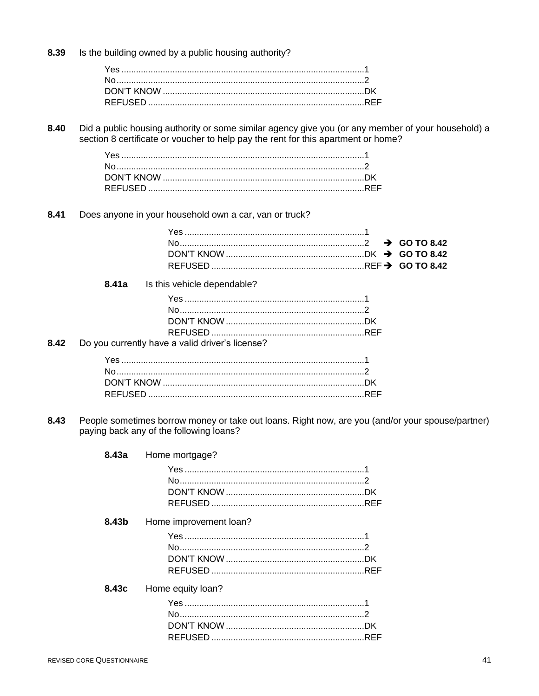8.39 Is the building owned by a public housing authority?

8.40 Did a public housing authority or some similar agency give you (or any member of your household) a section 8 certificate or voucher to help pay the rent for this apartment or home?

8.41 Does anyone in your household own a car, van or truck?

8.41a Is this vehicle dependable?

#### 8.42 Do you currently have a valid driver's license?

People sometimes borrow money or take out loans. Right now, are you (and/or your spouse/partner) 8.43 paying back any of the following loans?

| 8.43a | Home mortgage?         |  |
|-------|------------------------|--|
|       |                        |  |
|       |                        |  |
|       |                        |  |
|       |                        |  |
| 8.43b | Home improvement loan? |  |
|       |                        |  |
|       |                        |  |
|       |                        |  |
|       |                        |  |
| 8.43c | Home equity loan?      |  |
|       |                        |  |
|       |                        |  |
|       |                        |  |
|       |                        |  |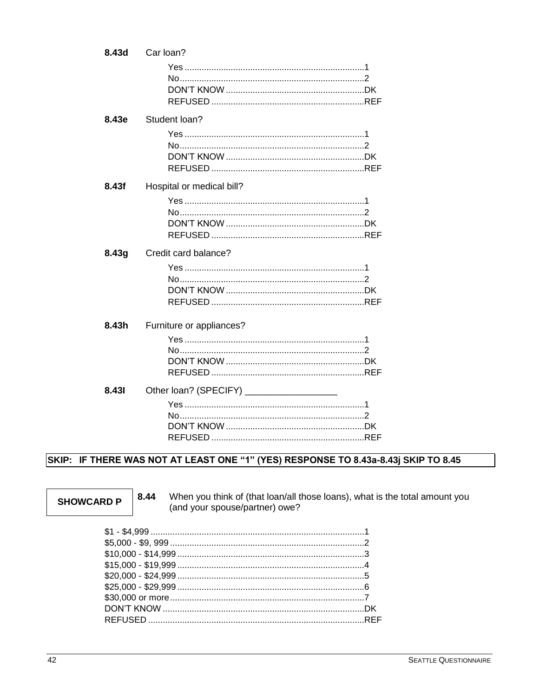| 8.43d | Car loan?                                 |
|-------|-------------------------------------------|
|       |                                           |
| 8.43e | Student loan?                             |
|       |                                           |
| 8.43f | Hospital or medical bill?                 |
|       |                                           |
| 8.43g | Credit card balance?                      |
|       |                                           |
| 8.43h | Furniture or appliances?                  |
|       |                                           |
| 8.431 | Other loan? (SPECIFY) ___________________ |
|       |                                           |

### SKIP: IF THERE WAS NOT AT LEAST ONE "1" (YES) RESPONSE TO 8.43a-8.43j SKIP TO 8.45

**SHOWCARD P** 

When you think of (that loan/all those loans), what is the total amount you 8.44 (and your spouse/partner) owe?

| $$5.000 - $9,999 \dots 2$ |  |
|---------------------------|--|
|                           |  |
|                           |  |
|                           |  |
|                           |  |
|                           |  |
|                           |  |
|                           |  |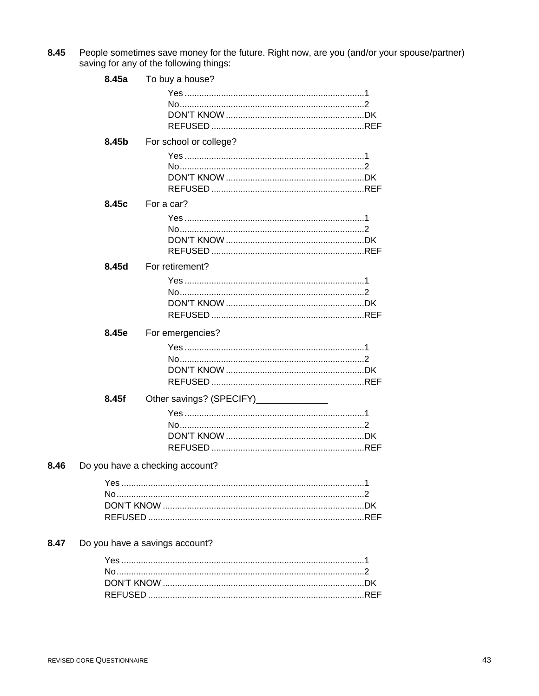People sometimes save money for the future. Right now, are you (and/or your spouse/partner) saving for any of the following things: 8.45

| 8.45a | To buy a house?                        |
|-------|----------------------------------------|
|       |                                        |
| 8.45b | For school or college?                 |
|       |                                        |
| 8.45c | For a car?                             |
|       |                                        |
| 8.45d | For retirement?                        |
|       |                                        |
| 8.45e | For emergencies?                       |
|       |                                        |
| 8.45f | Other savings? (SPECIFY)______________ |
|       |                                        |
|       | Do you have a checking account?        |
|       |                                        |
|       | Do you have a savings account?         |
|       |                                        |

8.46

8.47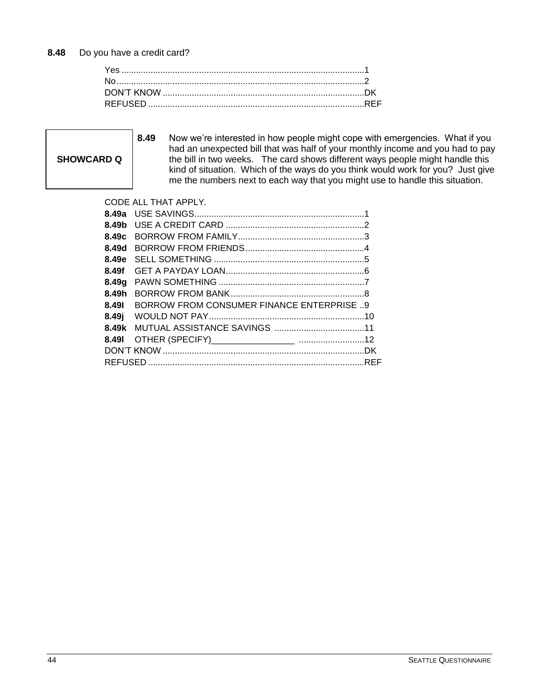### **8.48** Do you have a credit card?

# **SHOWCARD Q**

**8.49** Now we're interested in how people might cope with emergencies. What if you had an unexpected bill that was half of your monthly income and you had to pay the bill in two weeks. The card shows different ways people might handle this kind of situation. Which of the ways do you think would work for you? Just give me the numbers next to each way that you might use to handle this situation.

### CODE ALL THAT APPLY*.*

| 8.49a |                                                   |  |
|-------|---------------------------------------------------|--|
| 8.49b |                                                   |  |
| 8.49c |                                                   |  |
| 8.49d |                                                   |  |
| 8.49e |                                                   |  |
| 8.49f |                                                   |  |
| 8.49g |                                                   |  |
| 8.49h |                                                   |  |
| 8.491 | <b>BORROW FROM CONSUMER FINANCE ENTERPRISE  9</b> |  |
| 8.49j |                                                   |  |
| 8.49k |                                                   |  |
|       |                                                   |  |
|       |                                                   |  |
|       |                                                   |  |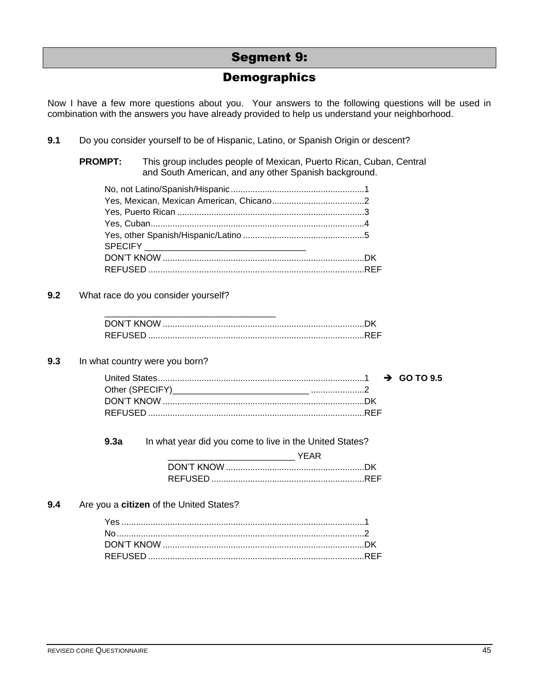# Segment 9:

# **Demographics**

Now I have a few more questions about you. Your answers to the following questions will be used in combination with the answers you have already provided to help us understand your neighborhood.

- **9.1** Do you consider yourself to be of Hispanic, Latino, or Spanish Origin or descent?
	- **PROMPT:** This group includes people of Mexican, Puerto Rican, Cuban, Central and South American, and any other Spanish background.

**9.2** What race do you consider yourself?

### **9.3** In what country were you born?

### **9.3a** In what year did you come to live in the United States?

| YFAR |
|------|
|      |
|      |

### **9.4** Are you a **citizen** of the United States?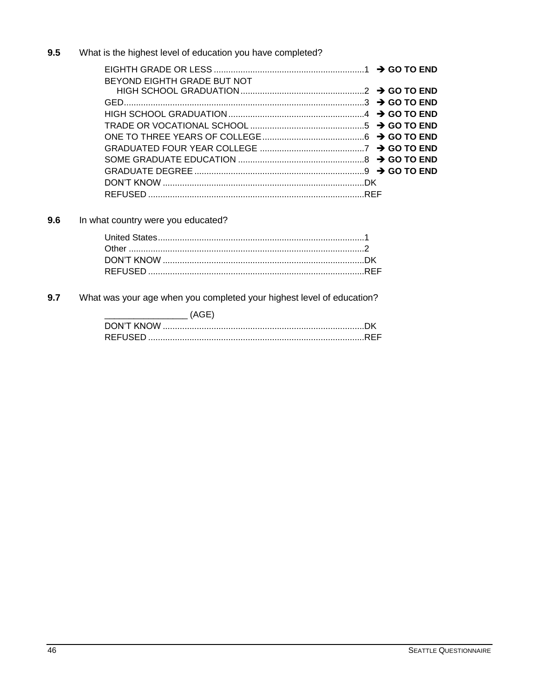#### What is the highest level of education you have completed?  $9.5$

| BEYOND EIGHTH GRADE BUT NOT |  |
|-----------------------------|--|
|                             |  |
|                             |  |
|                             |  |
|                             |  |
|                             |  |
|                             |  |
|                             |  |
|                             |  |
|                             |  |
|                             |  |

#### $9.6$ In what country were you educated?

#### $9.7$ What was your age when you completed your highest level of education?